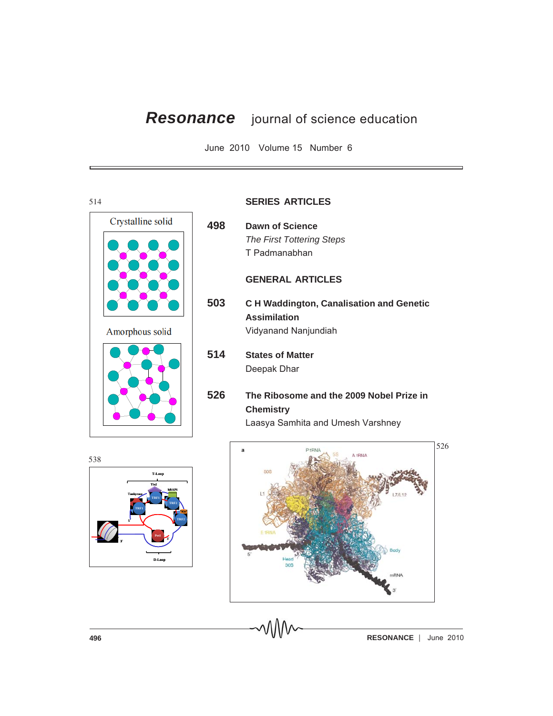## *Resonance* journal of science education

June 2010 Volume 15 Number 6

## 514 Crystalline solid **498 Dawn of Science** *The First Tottering Steps* T Padmanabhan **GENERAL ARTICLES 503 C H Waddington, Canalisation and Genetic Assimilation** Amorphous solid Vidyanand Nanjundiah **514 States of Matter** Deepak Dhar **526 The Ribosome and the 2009 Nobel Prize in Chemistry** Laasya Samhita and Umesh Varshney  $\overline{a}$ 538





**496 RESONANCE** June 2010

## **SERIES ARTICLES**